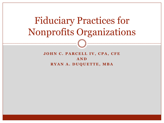# Fiduciary Practices for Nonprofits Organizations

#### **JOHN C. PARCELL IV, CPA, CFE A N D RYAN A. DUQUETTE, MBA**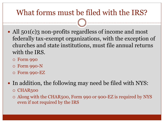### What forms must be filed with the IRS?

- All 501(c)3 non-profits regardless of income and most federally tax-exempt organizations, with the exception of churches and state institutions, must file annual returns with the IRS.
	- Form 990
	- Form 990-N
	- Form 990-EZ
- In addition, the following may need be filed with NYS:
	- o CHAR500
	- Along with the CHAR500, Form 990 or 900-EZ is required by NYS even if not required by the IRS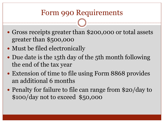### Form 990 Requirements

- Gross receipts greater than \$200,000 or total assets greater than \$500,000
- Must be filed electronically
- Due date is the 15th day of the 5th month following the end of the tax year
- Extension of time to file using Form 8868 provides an additional 6 months
- Penalty for failure to file can range from \$20/day to \$100/day not to exceed \$50,000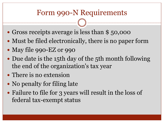### Form 990-N Requirements

- Gross receipts average is less than \$50,000
- Must be filed electronically, there is no paper form
- May file 990-EZ or 990
- Due date is the 15th day of the 5th month following the end of the organization's tax year
- There is no extension
- No penalty for filing late
- Failure to file for 3 years will result in the loss of federal tax-exempt status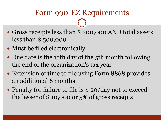### Form 990-EZ Requirements

- Gross receipts less than \$200,000 AND total assets less than \$ 500,000
- Must be filed electronically
- Due date is the 15th day of the 5th month following the end of the organization's tax year
- Extension of time to file using Form 8868 provides an additional 6 months
- Penalty for failure to file is \$20/day not to exceed the lesser of \$ 10,000 or 5% of gross receipts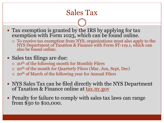### Sales Tax

- Tax exemption is granted by the IRS by applying for tax exemption with Form 1023, which can be found online.
	- To receive tax exemption from NYS, organizations must also apply to the NYS Department of Taxation & Finance with Form ST-119.1, which can also be found online.
- Sales tax filings are due:
	- o 20<sup>th</sup> of the following month for Monthly Filers
	- $\circ$  20<sup>th</sup> of the month for Quarterly Filers (Mar, Jun, Sept, Dec)
	- $\circ$  20<sup>th</sup> of March of the following year for Annual Filers
- NYS Sales Tax can be filed directly with the NYS Department of Taxation & Finance online at tax.ny.gov
- Penalty for failure to comply with sales tax laws can range from \$50 to \$10,000.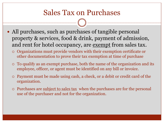### Sales Tax on Purchases

- All purchases, such as purchases of tangible personal property & services, food & drink, payment of admission, and rent for hotel occupancy, are exempt from sales tax.
	- Organizations must provide vendors with their exemption certificate or other documentation to prove their tax exemption at time of purchase
	- To qualify as an exempt purchase, both the name of the organization and its employee, officer, or agent must be identified on any bill or invoice.
	- Payment must be made using cash, a check, or a debit or credit card of the organization.
	- Purchases are subject to sales tax when the purchases are for the personal use of the purchaser and not for the organization.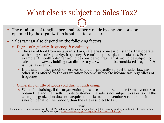### What else is subject to Sales Tax?

- The retail sale of tangible personal property made by any shop or store operated by the organization is subject to sales tax
- Sales tax can also depend on the following factors:
	- Degree of regularity, frequency, & continuity.
		- $\blacktriangleright$  The sale of food from restaurants, bars, cafeterias, concession stands, that operate with a degree of regularity, frequency, & continuity is subject to sales tax. For example, A monthly dinner would be considered "regular" & would be subject to sales tax; however, holding two dinners a year would not be considered "regular" & is thus tax exempt.
		- If the sale of other goods or services offered is presently subject to sales tax, any other sales offered by the organization become subject to income tax, regardless of frequency.
	- Ownership of title of goods sold during fundraising.
		- $\times$  When fundraising, if the organization purchases the merchandise from a vendor to obtain title and then sells it to its customer, the sale is not subject to sales tax. If the exempt organization does not acquire the title from the vendor & rather solicits sales on behalf of the vendor, than the sale is subject to tax.

**NOTE**:

The above is by no means an exhausted list. The following publication goes into further detail regarding what is or isn't subject to tax to include specific examples, <https://www.tax.ny.gov/pdf/publications/sales/pub843.pdf>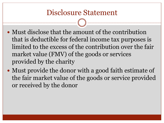### Disclosure Statement

- Must disclose that the amount of the contribution that is deductible for federal income tax purposes is limited to the excess of the contribution over the fair market value (FMV) of the goods or services provided by the charity
- Must provide the donor with a good faith estimate of the fair market value of the goods or service provided or received by the donor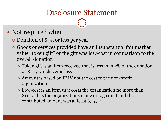### Disclosure Statement

### • Not required when:

- Donation of \$ 75 or less per year
- Goods or services provided have an insubstantial fair market value "token gift" or the gift was low-cost in comparison to the overall donation
	- **IX** Token gift is an item received that is less than 2% of the donation or \$111, whichever is less
	- **Amount is based on FMV not the cost to the non-profit** organization
	- **Low-cost is an item that costs the organization no more than** \$11.10, has the organizations name or logo on it and the contributed amount was at least \$55.50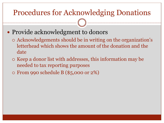### Procedures for Acknowledging Donations

- Provide acknowledgment to donors
	- Acknowledgements should be in writing on the organization's letterhead which shows the amount of the donation and the date
	- $\circ$  Keep a donor list with addresses, this information may be needed to tax reporting purposes
	- From 990 schedule B (\$5,000 or 2%)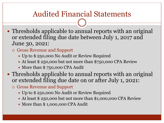### Audited Financial Statements

- Thresholds applicable to annual reports with an original or extended filing due date between July 1, 2017 and June 30, 2021:
	- Gross Revenue and Support
		- Up to \$ 250,000 No Audit or Review Required
		- At least \$250,000 but not more than \$750,000 CPA Review
		- $\times$  More than  $$750,000$  CPA Audit
- Thresholds applicable to annual reports with an original or extended filing due date on or after July 1, 2021:
	- Gross Revenue and Support
		- Up to \$250,000 No Audit or Review Required
		- At least \$ 250,000 but not more than \$1,000,000 CPA Review
		- More than \$1,000,000 CPA Audit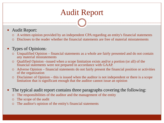## Audit Report

- Audit Report:
	- A written opinion provided by an independent CPA regarding an entity's financial statements
	- Discloses to the reader whether the financial statements are free of material misstatements

#### Types of Opinions:

- Unqualified Opinion financial statements as a whole are fairly presented and do not contain any material misstatements
- Qualified Opinion –issued when a scope limitation exists and/or a portion (or all) of the financial statements were not prepared in accordance with GAAP.
- Adverse Opinion financial statements do not fairly present the financial position or activities of the organization
- Disclaimer of Opinion this is issued when the auditor is not independent or there is a scope limitation that is significant enough that the auditor cannot issue an opinion
- The typical audit report contains three paragraphs covering the following:
	- The responsibilities of the auditor and the management of the entity
	- The scope of the audit
	- The auditor's opinion of the entity's financial statements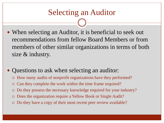### Selecting an Auditor

• When selecting an Auditor, it is beneficial to seek out recommendations from fellow Board Members or from members of other similar organizations in terms of both size & industry.

#### • Questions to ask when selecting an auditor:

- How many audits of nonprofit organizations have they performed?
- Can they complete the work within the time frame required?
- Do they possess the necessary knowledge required for your industry?
- Does the organization require a Yellow Book or Single Audit?
- Do they have a copy of their most recent peer review available?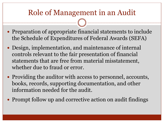### Role of Management in an Audit

- Preparation of appropriate financial statements to include the Schedule of Expenditures of Federal Awards (SEFA)
- Design, implementation, and maintenance of internal controls relevant to the fair presentation of financial statements that are free from material misstatement, whether due to fraud or error.
- Providing the auditor with access to personnel, accounts, books, records, supporting documentation, and other information needed for the audit.
- Prompt follow up and corrective action on audit findings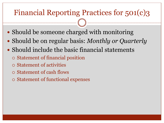### Financial Reporting Practices for 501(c)3

- Should be someone charged with monitoring
- Should be on regular basis: *Monthly or Quarterly*
- Should include the basic financial statements
	- Statement of financial position
	- Statement of activities
	- Statement of cash flows
	- Statement of functional expenses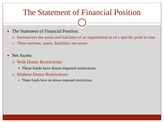### The Statement of Financial Position

- The Statement of Financial Position:
	- Summarizes the assets and liabilities of an organization as of a specific point in time
	- Three sections; assets, liabilities, net assets
- Net Assets:
	- With Donor Restrictions:
		- $\blacktriangleright$  These funds have donor-imposed restrictions
	- Without Donor Restrictions:
		- $\blacktriangleright$  These funds have no donor-imposed restrictions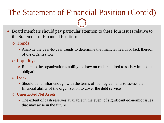## The Statement of Financial Position (Cont'd)

- Board members should pay particular attention to these four issues relative to the Statement of Financial Position:
	- Trends:
		- Analyze the year-to-year trends to determine the financial health or lack thereof of the organization
	- Liquidity:
		- $\blacktriangleright$  Refers to the organization's ability to draw on cash required to satisfy immediate obligations
	- Debt:
		- $\blacktriangleright$  Should be familiar enough with the terms of loan agreements to assess the financial ability of the organization to cover the debt service
	- Unrestricted Net Assets:
		- $\blacktriangleright$  The extent of cash reserves available in the event of significant economic issues that may arise in the future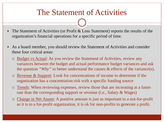### The Statement of Activities

- The Statement of Activities (or Profit & Loss Statement) reports the results of the organization's financial operations for a specific period of time.
- As a board member, you should review the Statement of Activities and consider these four critical areas:
	- Budget vs Actual: As you review the Statement of Activities, review any variances between the budget and actual performance budget variances and ask the question *"Why"* to better understand the causes & effects of the variance(s).
	- Revenue & Support: Look for concentrations of income to determine if the organization has a concentration risk with a specific funding source
	- Trends: When reviewing expenses, review those that are increasing at a faster rate than the corresponding support or revenue (i.e., Salary & Wages)
	- Change in Net Assets: A positive amount is just as important to a not-for-profit as it is to a for-profit organization, it is ok for non-profits to generate a profit.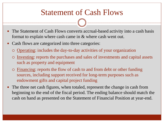### Statement of Cash Flows

- The Statement of Cash Flows converts accrual-based activity into a cash basis format to explain where cash came in & where cash went out.
- Cash flows are categorized into three categories:
	- Operating: includes the day-to-day activities of your organization
	- Investing: reports the purchases and sales of investments and capital assets such as property and equipment
	- Financing: reports the flow of cash to and from debt or other funding sources, including support received for long-term purposes such as endowment gifts and capital project funding
- The three net cash figures, when totaled, represent the change in cash from beginning to the end of the fiscal period. The ending balance should match the cash on hand as presented on the Statement of Financial Position at year-end.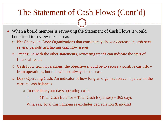### The Statement of Cash Flows (Cont'd)

- When a board member is reviewing the Statement of Cash Flows it would beneficial to review these areas:
	- Net Change in Cash: Organizations that consistently show a decrease in cash over several periods risk having cash flow issues
	- Trends: As with the other statements, reviewing trends can indicate the start of financial issues
	- Cash Flow from Operations: the objective should be to secure a positive cash flow from operations, but this will not always be the case
	- Days Operating Cash: An indicator of how long an organization can operate on the current cash balances
		- To calculate your days operating cash:
			- (Total Cash Balance  $\div$  Total Cash Expenses)  $\div$  365 days

Whereas, Total Cash Expenses excludes depreciation & in-kind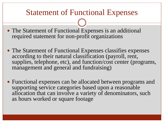### Statement of Functional Expenses

- The Statement of Functional Expenses is an additional required statement for non-profit organizations
- The Statement of Functional Expenses classifies expenses according to their natural classification (payroll, rent, supplies, telephone, etc), and function/cost center (programs, management and general and fundraising)
- Functional expenses can be allocated between programs and supporting service categories based upon a reasonable allocation that can involve a variety of denominators, such as hours worked or square footage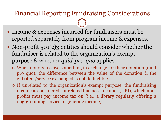#### Financial Reporting Fundraising Considerations

- Income & expenses incurred for fundraisers must be reported separately from program income & expenses.
- Non-profit 501(c)3 entities should consider whether the fundraiser is related to the organization's exempt purpose & whether *quid-pro-quo* applies.
	- When donors receive something in exchange for their donation (quid pro quo), the difference between the value of the donation & the gift/item/service exchanged is not deductible.
	- If unrelated to the organization's exempt purpose, the fundraising income is considered "unrelated business income" (UBI), which nonprofits must pay income tax on (i.e., a library regularly offering a dog-grooming service to generate income)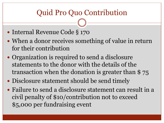### Quid Pro Quo Contribution

- Internal Revenue Code § 170
- When a donor receives something of value in return for their contribution
- Organization is required to send a disclosure statements to the donor with the details of the transaction when the donation is greater than \$ 75
- Disclosure statement should be send timely
- Failure to send a disclosure statement can result in a civil penalty of \$10/contribution not to exceed \$5,000 per fundraising event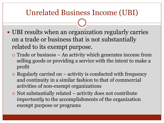### Unrelated Business Income (UBI)

- UBI results when an organization regularly carries on a trade or business that is not substantially related to its exempt purpose.
	- Trade or business An activity which generates income from selling goods or providing a service with the intent to make a profit
	- $\circ$  Regularly carried on activity is conducted with frequency and continuity in a similar fashion to that of commercial activities of non-exempt organizations
	- $\circ$  Not substantially related activity does not contribute *importantly* to the accomplishments of the organization exempt purpose or programs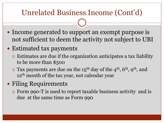### Unrelated Business Income (Cont'd)

- Income generated to support an exempt purpose is not sufficient to deem the activity not subject to UBI
- Estimated tax payments
	- Estimates are due if the organization anticipates a tax liability to be more than \$500
	- $\circ$  Tax payments are due on the 15<sup>th</sup> day of the 4<sup>th</sup>, 6<sup>th</sup>, 9<sup>th</sup>, and 12<sup>th</sup> month of the tax year, not calendar year
- Filing Requirements
	- Form 990-T is used to report taxable business activity and is due at the same time as Form 990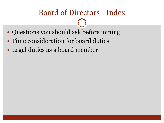### Board of Directors - Index

- Questions you should ask before joining
- Time consideration for board duties
- Legal duties as a board member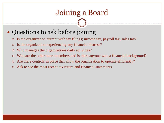### Joining a Board

#### • Questions to ask before joining

- Is the organization current with tax filings; income tax, payroll tax, sales tax?
- Is the organization experiencing any financial distress?
- Who manages the organizations daily activities?
- Who are the other board members and is there anyone with a financial background?
- Are there controls in place that allow the organization to operate efficiently?
- Ask to see the most recent tax return and financial statements.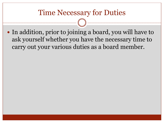### Time Necessary for Duties

• In addition, prior to joining a board, you will have to ask yourself whether you have the necessary time to carry out your various duties as a board member.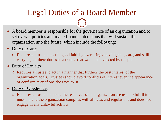### Legal Duties of a Board Member

- A board member is responsible for the governance of an organization and to set overall policies and make financial decisions that will sustain the organization into the future, which include the following:
- Duty of Care:
	- Requires a trustee to act in good faith by exercising due diligence, care, and skill in carrying out there duties as a trustee that would be expected by the public
- Duty of Loyalty:
	- Requires a trustee to act in a manner that furthers the best interest of the organization goals. Trustees should avoid conflicts of interest even the appearance of conflicts even if one does not exist

#### Duty of Obedience:

 Requires a trustee to insure the resources of an organization are used to fulfill it's mission, and the organization complies with all laws and regulations and does not engage in any unlawful activity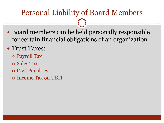### Personal Liability of Board Members

• Board members can be held personally responsible for certain financial obligations of an organization

#### • Trust Taxes:

- Payroll Tax
- Sales Tax
- Civil Penalties
- Income Tax on UBIT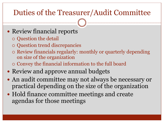### Duties of the Treasurer/Audit Committee

### • Review financial reports

- Question the detail
- Question trend discrepancies
- Review financials regularly: monthly or quarterly depending on size of the organization
- Convey the financial information to the full board
- Review and approve annual budgets
- An audit committee may not always be necessary or practical depending on the size of the organization
- Hold finance committee meetings and create agendas for those meetings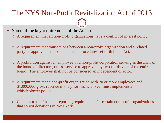### The NYS Non-Profit Revitalization Act of 2013

Some of the key requirements of the Act are:

- A requirement that all non-profit organizations have a conflict of interest policy.
- A requirement that transactions between a non-profit organization and a related party be approved in accordance with procedures set forth in the Act.
- A prohibition against an employee of a non-profit corporation serving as the chair of the board of directors, unless service to approved by two-thirds vote of the entire board. The employee shall not be considered an independent director.
- A requirement that a non-profit organization with 20 or more employees and \$1,000,000 gross revenue in the prior financial year must implement a whistleblower policy.
- Changes to the financial reporting requirements for certain non-profit organizations that solicit donations in New York.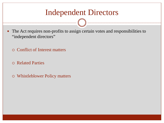### Independent Directors

- The Act requires non-profits to assign certain votes and responsibilities to "independent directors"
	- Conflict of Interest matters
	- Related Parties
	- Whistleblower Policy matters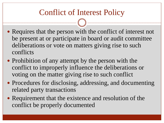## Conflict of Interest Policy

- Requires that the person with the conflict of interest not be present at or participate in board or audit committee deliberations or vote on matters giving rise to such conflicts
- Prohibition of any attempt by the person with the conflict to improperly influence the deliberations or voting on the matter giving rise to such conflict
- Procedures for disclosing, addressing, and documenting related party transactions
- Requirement that the existence and resolution of the conflict be properly documented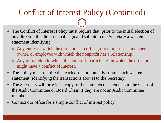### Conflict of Interest Policy (Continued)

- The Conflict of Interest Policy must require that, prior to the initial election of any director, the director shall sign and submit to the Secretary a written statement identifying:
	- o Any entity of which the director is an officer, director, trustee, member, owner, or employee with which the nonprofit has a relationship.
	- o Any transaction in which the nonprofit participates in which the director might have a conflict of interest.
- The Policy must require that each director annually submit such written statement (identifying the transactions above) to the Secretary.
- The Secretary will provide a copy of the completed statements to the Chair of the Audit Committee or Board Chair, if they are not an Audit Committee member.
- Contact our office for a simple conflict of interest policy.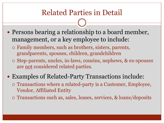### Related Parties in Detail

- Persons bearing a relationship to a board member, management, or a key employee to include:
	- Family members, such as brothers, sisters, parents, grandparents, spouses, children, grandchildren
	- Step-parents, uncles, in-laws, cousins, nephews, & ex-spouses are <u>not</u> considered related parties.
- Examples of Related-Party Transactions include:
	- Transactions where a related-party is a Customer, Employee, Vendor, Affiliated Entity
	- Transactions such as, sales, leases, services, & loans/deposits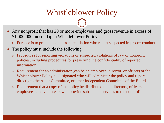### Whistleblower Policy

- Any nonprofit that has 20 or more employees and gross revenue in excess of \$1,000,000 must adopt a Whistleblower Policy:
	- Purpose is to protect people from retaliation who report suspected improper conduct
- The policy must include the following:
	- o Procedures for reporting violations or suspected violations of law or nonprofit policies, including procedures for preserving the confidentiality of reported information.
	- <sup>o</sup> Requirement for an administrator (can be an employee, director, or officer) of the Whistleblower Policy be designated who will administer the policy and report directly to the Audit Committee, or other independent Committee of the Board.
	- <sup>o</sup> Requirement that a copy of the policy be distributed to all directors, officers, employees, and volunteers who provide substantial services to the nonprofit.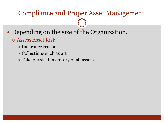#### Compliance and Proper Asset Management

- Depending on the size of the Organization.
	- Assess Asset Risk
		- $\times$  Insurance reasons
		- Collections such as art
		- $\blacktriangleright$  Take physical inventory of all assets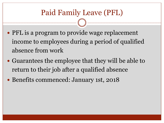### Paid Family Leave (PFL)

- PFL is a program to provide wage replacement income to employees during a period of qualified absence from work
- Guarantees the employee that they will be able to return to their job after a qualified absence
- Benefits commenced: January 1st, 2018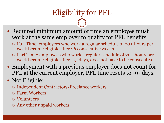## Eligibility for PFL

- Required minimum amount of time an employee must work at the same employer to qualify for PFL benefits
	- Full Time: employees who work a regular schedule of 20+ hours per week become eligible after 26 consecutive weeks.
	- Part Time: employees who work a regular schedule of 20+ hours per week become eligible after 175 days, does not have to be consecutive.
- Employment with a previous employer does not count for PFL at the current employer, PFL time resets to -0- days.

#### • Not Eligible:

- Independent Contractors/Freelance workers
- Farm Workers
- Volunteers
- Any other unpaid workers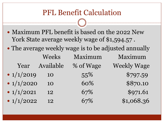### PFL Benefit Calculation

- Maximum PFL benefit is based on the 2022 New York State average weekly wage of \$1,594.57.
- The average weekly wage is to be adjusted annually

|              | Weeks     | Maximum   | Maximum            |
|--------------|-----------|-----------|--------------------|
| Year         | Available | % of Wage | <b>Weekly Wage</b> |
| • $1/1/2019$ | 10        | 55%       | \$797.59           |
| • $1/1/2020$ | 10        | 60%       | \$870.10           |
| • $1/1/2021$ | 12        | 67%       | \$971.61           |
| • $1/1/2022$ | 12        | 67%       | \$1,068.36         |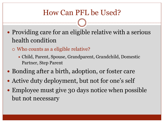### How Can PFL be Used?

- Providing care for an eligible relative with a serious health condition
	- Who counts as a eligible relative?
		- Child, Parent, Spouse, Grandparent, Grandchild, Domestic Partner, Step Parent
- Bonding after a birth, adoption, or foster care
- Active duty deployment, but not for one's self
- Employee must give 30 days notice when possible but not necessary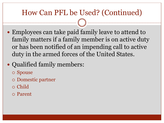### How Can PFL be Used? (Continued)

- Employees can take paid family leave to attend to family matters if a family member is on active duty or has been notified of an impending call to active duty in the armed forces of the United States.
- Qualified family members:
	- Spouse
	- Domestic partner
	- Child
	- Parent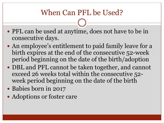### When Can PFL be Used?

- PFL can be used at anytime, does not have to be in consecutive days.
- An employee's entitlement to paid family leave for a birth expires at the end of the consecutive 52-week period beginning on the date of the birth/adoption
- DBL and PFL cannot be taken together, and cannot exceed 26 weeks total within the consecutive 52 week period beginning on the date of the birth
- Babies born in 2017
- Adoptions or foster care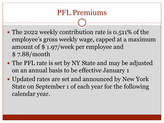### PFL Premiums

- The 2022 weekly contribution rate is 0.511% of the employee's gross weekly wage, capped at a maximum amount of \$ 1.97/week per employee and \$ 7.88/month
- The PFL rate is set by NY State and may be adjusted on an annual basis to be effective January 1
- Updated rates are set and announced by New York State on September 1 of each year for the following calendar year.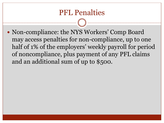### PFL Penalties

• Non-compliance: the NYS Workers' Comp Board may access penalties for non-compliance, up to one half of 1% of the employers' weekly payroll for period of noncompliance, plus payment of any PFL claims and an additional sum of up to \$500.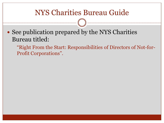### NYS Charities Bureau Guide

• See publication prepared by the NYS Charities Bureau titled:

"Right From the Start: Responsibilities of Directors of Not-for-Profit Corporations".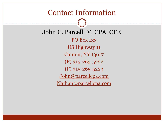#### Contact Information

John C. Parcell IV, CPA, CFE PO Box 133 US Highway 11 Canton, NY 13617 (P) 315-265-5222 (F) 315-265-5223 [John@parcellcpa.com](mailto:John@parcellcpa.com) [Nathan@parcellcpa.com](mailto:Nathan@parcellcpa.com)